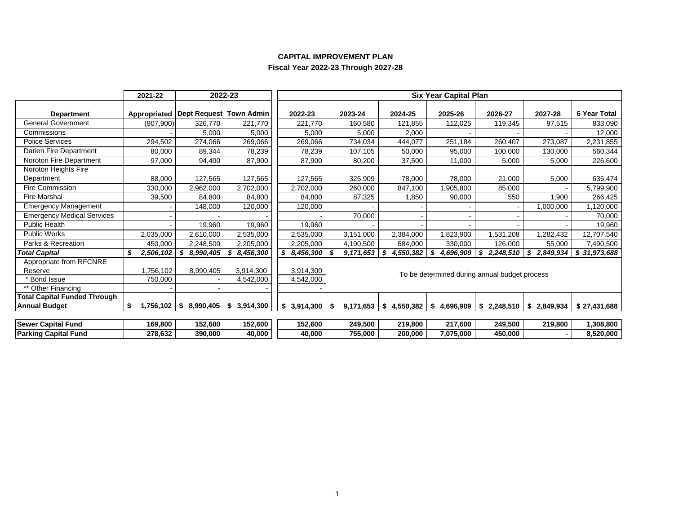|                                     | 2021-22    |                                           | 2022-23   |             |                        |                | <b>Six Year Capital Plan</b>                  |                |                |              |
|-------------------------------------|------------|-------------------------------------------|-----------|-------------|------------------------|----------------|-----------------------------------------------|----------------|----------------|--------------|
| <b>Department</b>                   |            | Appropriated   Dept Request   Town Admin  |           | 2022-23     | 2023-24                | 2024-25        | 2025-26                                       | 2026-27        | 2027-28        | 6 Year Total |
| <b>General Government</b>           | (907, 900) | 326.770                                   | 221,770   | 221.770     | 160,580                | 121,855        | 112,025                                       | 119,345        | 97,515         | 833,090      |
| Commissions                         |            | 5,000                                     | 5,000     | 5,000       | 5,000                  | 2,000          |                                               |                |                | 12,000       |
| <b>Police Services</b>              | 294,502    | 274,066                                   | 269,066   | 269,066     | 734,034                | 444,077        | 251,184                                       | 260,407        | 273,087        | 2,231,855    |
| Darien Fire Department              | 80,000     | 89.344                                    | 78,239    | 78,239      | 107,105                | 50,000         | 95,000                                        | 100,000        | 130,000        | 560,344      |
| Noroton Fire Department             | 97,000     | 94,400                                    | 87,900    | 87,900      | 80,200                 | 37,500         | 11,000                                        | 5,000          | 5,000          | 226,600      |
| Noroton Heights Fire                |            |                                           |           |             |                        |                |                                               |                |                |              |
| Department                          | 88,000     | 127,565                                   | 127,565   | 127,565     | 325,909                | 78,000         | 78,000                                        | 21,000         | 5,000          | 635,474      |
| <b>Fire Commission</b>              | 330,000    | 2,962,000                                 | 2,702,000 | 2,702,000   | 260,000                | 847,100        | ,905,800                                      | 85,000         |                | 5,799,900    |
| <b>Fire Marshal</b>                 | 39,500     | 84,800                                    | 84,800    | 84,800      | 87,325                 | 1,850          | 90,000                                        | 550            | 1,900          | 266,425      |
| <b>Emergency Management</b>         |            | 148,000                                   | 120,000   | 120,000     |                        |                |                                               |                | 1,000,000      | 1,120,000    |
| <b>Emergency Medical Services</b>   |            |                                           |           |             | 70,000                 |                |                                               |                |                | 70,000       |
| <b>Public Health</b>                |            | 19,960                                    | 19,960    | 19,960      |                        |                |                                               |                |                | 19,960       |
| <b>Public Works</b>                 | 2,035,000  | 2,610,000                                 | 2,535,000 | 2,535,000   | 3,151,000              | 2,384,000      | 1,823,900                                     | 1,531,208      | ,282,432       | 12,707,540   |
| Parks & Recreation                  | 450,000    | 2,248,500                                 | 2,205,000 | 2,205,000   | 4,190,500              | 584,000        | 330,000                                       | 126,000        | 55,000         | 7,490,500    |
| <b>Total Capital</b>                | 2,506,102  | 8,990,405<br>\$                           | 8,456,300 | \$8,456,300 | 9,171,653              | S<br>4,550,382 | S<br>4,696,909                                | S<br>2,248,510 | S<br>2,849,934 | \$31,973,688 |
| Appropriate from RFCNRE             |            |                                           |           |             |                        |                |                                               |                |                |              |
| Reserve                             | 1,756,102  | 8,990,405                                 | 3,914,300 | 3,914,300   |                        |                | To be determined during annual budget process |                |                |              |
| * Bond Issue                        | 750,000    |                                           | 4,542,000 | 4,542,000   |                        |                |                                               |                |                |              |
| ** Other Financing                  |            |                                           |           |             |                        |                |                                               |                |                |              |
| <b>Total Capital Funded Through</b> |            |                                           |           |             |                        |                |                                               |                |                |              |
| <b>Annual Budget</b>                | \$         | $1,756,102$   \$ 8,990,405   \$ 3,914,300 |           | \$3,914,300 | $9,171,653$ \$<br>- \$ | 4,550,382      | \$<br>4,696,909                               | \$2,248,510    | \$2,849,934    | \$27,431,688 |
|                                     |            |                                           |           |             |                        |                |                                               |                |                |              |
| <b>Sewer Capital Fund</b>           | 169,800    | 152,600                                   | 152,600   | 152,600     | 249,500                | 219,800        | 217,600                                       | 249,500        | 219,800        | 1,308,800    |
| <b>Parking Capital Fund</b>         | 278,632    | 390,000                                   | 40,000    | 40,000      | 755,000                | 200,000        | 7,075,000                                     | 450,000        |                | 8,520,000    |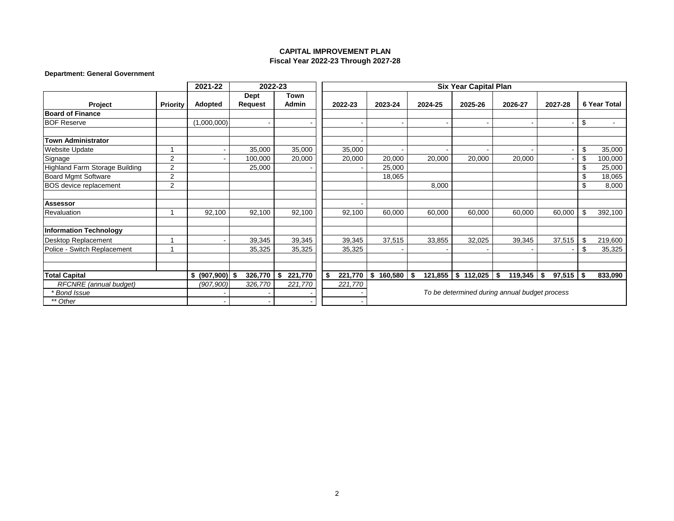### **Department: General Government**

|                                |                | 2021-22              | 2022-23                |               |               |                    |         | <b>Six Year Capital Plan</b> |                                               |                |                     |
|--------------------------------|----------------|----------------------|------------------------|---------------|---------------|--------------------|---------|------------------------------|-----------------------------------------------|----------------|---------------------|
| Project                        | Priority       | <b>Adopted</b>       | <b>Dept</b><br>Request | Town<br>Admin | 2022-23       | 2023-24            | 2024-25 | 2025-26                      | 2026-27                                       | 2027-28        | <b>6 Year Total</b> |
| <b>Board of Finance</b>        |                |                      |                        |               |               |                    |         |                              |                                               |                |                     |
| <b>BOF Reserve</b>             |                | (1,000,000)          |                        |               |               |                    |         |                              |                                               |                | \$                  |
| <b>Town Administrator</b>      |                |                      |                        |               |               |                    |         |                              |                                               |                |                     |
| <b>Website Update</b>          |                |                      | 35,000                 | 35,000        | 35,000        |                    |         |                              |                                               |                | \$<br>35,000        |
| Signage                        | $\overline{2}$ |                      | 100,000                | 20,000        | 20,000        | 20,000             | 20,000  | 20,000                       | 20,000                                        |                | \$<br>100,000       |
| Highland Farm Storage Building | $\overline{2}$ |                      | 25,000                 |               |               | 25,000             |         |                              |                                               |                | \$<br>25,000        |
| <b>Board Mgmt Software</b>     | $\overline{2}$ |                      |                        |               |               | 18,065             |         |                              |                                               |                | \$<br>18,065        |
| BOS device replacement         | $\overline{2}$ |                      |                        |               |               |                    | 8,000   |                              |                                               |                | \$<br>8,000         |
| <b>Assessor</b>                |                |                      |                        |               |               |                    |         |                              |                                               |                |                     |
| Revaluation                    |                | 92,100               | 92,100                 | 92,100        | 92,100        | 60,000             | 60,000  | 60,000                       | 60,000                                        | 60,000         | \$<br>392,100       |
| <b>Information Technology</b>  |                |                      |                        |               |               |                    |         |                              |                                               |                |                     |
| Desktop Replacement            |                |                      | 39,345                 | 39,345        | 39,345        | 37,515             | 33,855  | 32,025                       | 39,345                                        | 37,515         | \$<br>219,600       |
| Police - Switch Replacement    |                |                      | 35,325                 | 35,325        | 35,325        |                    |         |                              |                                               |                | \$<br>35,325        |
|                                |                |                      |                        |               |               |                    |         |                              |                                               |                |                     |
| <b>Total Capital</b>           |                | $(907,900)$ \$<br>\$ | 326,770                | 221,770<br>\$ | 221,770<br>\$ | $160,580$ \$<br>\$ | 121,855 | $\frac{1}{2}$ \$ 112,025     | 119,345<br>-\$                                | 97,515<br>- \$ | \$<br>833,090       |
| RFCNRE (annual budget)         |                | (907, 900)           | 326,770                | 221,770       | 221,770       |                    |         |                              |                                               |                |                     |
| * Bond Issue                   |                |                      |                        |               |               |                    |         |                              | To be determined during annual budget process |                |                     |
| ** Other                       |                |                      |                        |               |               |                    |         |                              |                                               |                |                     |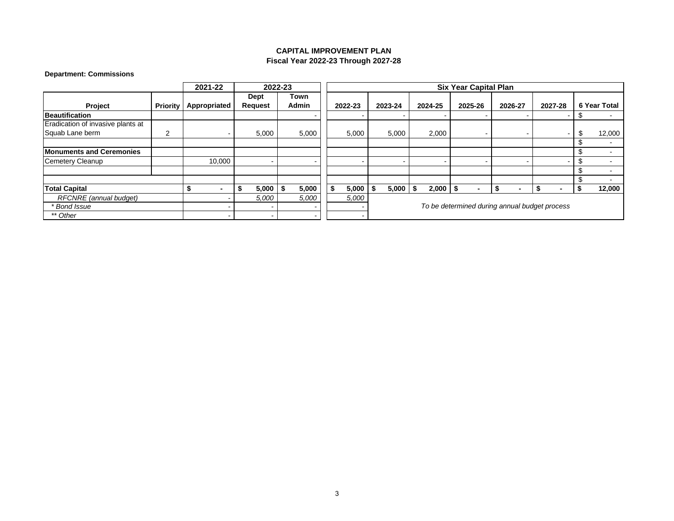## **Department: Commissions**

|                                   |   | 2021-22                      |             | 2022-23      |             |         |               | <b>Six Year Capital Plan</b> |                                               |                |                     |
|-----------------------------------|---|------------------------------|-------------|--------------|-------------|---------|---------------|------------------------------|-----------------------------------------------|----------------|---------------------|
|                                   |   |                              | <b>Dept</b> | Town         |             |         |               |                              |                                               |                |                     |
| Project                           |   | <b>Priority Appropriated</b> | Request     | <b>Admin</b> | 2022-23     | 2023-24 | 2024-25       | 2025-26                      | 2026-27                                       | 2027-28        | <b>6 Year Total</b> |
| <b>Beautification</b>             |   |                              |             |              |             |         |               |                              |                                               |                |                     |
| Eradication of invasive plants at |   |                              |             |              |             |         |               |                              |                                               |                |                     |
| Squab Lane berm                   | ີ |                              | 5,000       | 5,000        | 5,000       | 5,000   | 2,000         |                              |                                               | $\blacksquare$ | 12,000              |
|                                   |   |                              |             |              |             |         |               |                              |                                               |                |                     |
| <b>Monuments and Ceremonies</b>   |   |                              |             |              |             |         |               |                              |                                               |                |                     |
| Cemetery Cleanup                  |   | 10,000                       |             |              |             |         |               |                              |                                               |                |                     |
|                                   |   |                              |             |              |             |         |               |                              |                                               |                |                     |
|                                   |   |                              |             |              |             |         |               |                              |                                               |                |                     |
| <b>Total Capital</b>              |   |                              | 5,000<br>ъ  | \$<br>5,000  | \$<br>5,000 | 5,000   | 2,000<br>- 55 | ۰<br>- 35                    | \$<br>$\blacksquare$                          |                | 12,000              |
| RFCNRE (annual budget)            |   |                              | 5,000       | 5,000        | 5,000       |         |               |                              |                                               |                |                     |
| * Bond Issue                      |   | -                            |             |              |             |         |               |                              | To be determined during annual budget process |                |                     |
| ** Other                          |   | -                            |             |              |             |         |               |                              |                                               |                |                     |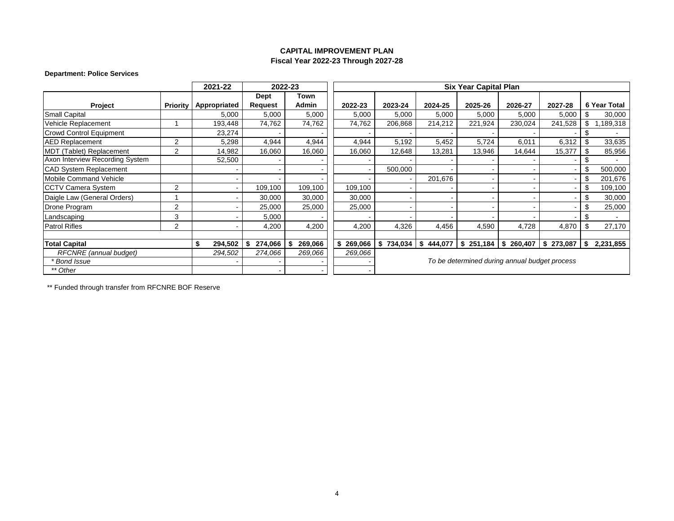## **Department: Police Services**

|                                 |                 | 2021-22       | 2022-23     |               |               |           |               | <b>Six Year Capital Plan</b>                  |                |                          |    |                     |
|---------------------------------|-----------------|---------------|-------------|---------------|---------------|-----------|---------------|-----------------------------------------------|----------------|--------------------------|----|---------------------|
|                                 |                 |               | <b>Dept</b> | Town          |               |           |               |                                               |                |                          |    |                     |
| Project                         | <b>Priority</b> | Appropriated  | Request     | <b>Admin</b>  | 2022-23       | 2023-24   | 2024-25       | 2025-26                                       | 2026-27        | 2027-28                  |    | <b>6 Year Total</b> |
| <b>Small Capital</b>            |                 | 5,000         | 5,000       | 5,000         | 5,000         | 5,000     | 5,000         | 5,000                                         | 5,000          | 5,000                    |    | 30,000              |
| Vehicle Replacement             |                 | 193,448       | 74,762      | 74,762        | 74,762        | 206,868   | 214,212       | 221,924                                       | 230,024        | 241,528                  | \$ | ,189,318            |
| Crowd Control Equipment         |                 | 23,274        |             |               |               |           |               |                                               |                |                          |    |                     |
| <b>AED Replacement</b>          | $\overline{2}$  | 5,298         | 4,944       | 4,944         | 4,944         | 5,192     | 5,452         | 5,724                                         | 6,011          | 6,312                    |    | 33,635              |
| MDT (Tablet) Replacement        | 2               | 14,982        | 16,060      | 16,060        | 16,060        | 12,648    | 13,281        | 13,946                                        | 14,644         | 15,377                   |    | 85,956              |
| Axon Interview Recording System |                 | 52,500        |             |               |               |           |               |                                               |                |                          |    |                     |
| <b>CAD System Replacement</b>   |                 |               |             |               |               | 500,000   |               |                                               |                |                          | \$ | 500,000             |
| <b>Mobile Command Vehicle</b>   |                 |               |             |               |               |           | 201,676       |                                               |                |                          | £. | 201,676             |
| <b>CCTV Camera System</b>       | 2               |               | 109,100     | 109,100       | 109,100       |           |               |                                               |                |                          |    | 109,100             |
| Daigle Law (General Orders)     |                 |               | 30,000      | 30,000        | 30,000        |           |               |                                               |                |                          |    | 30,000              |
| Drone Program                   | 2               |               | 25,000      | 25,000        | 25,000        |           |               |                                               | $\blacksquare$ |                          | £. | 25,000              |
| Landscaping                     | 3               |               | 5,000       |               |               |           |               |                                               |                | $\overline{\phantom{0}}$ |    | $\sim$              |
| <b>Patrol Rifles</b>            | 2               |               | 4,200       | 4,200         | 4,200         | 4,326     | 4,456         | 4,590                                         | 4,728          | 4,870                    |    | 27,170              |
|                                 |                 |               |             |               |               |           |               |                                               |                |                          |    |                     |
| <b>Total Capital</b>            |                 | \$<br>294,502 | 274,066     | 269,066<br>\$ | \$<br>269,066 | \$734,034 | 444,077<br>\$ | \$251,184                                     | \$260,407      | \$273,087                | \$ | 2,231,855           |
| RFCNRE (annual budget)          |                 | 294,502       | 274,066     | 269,066       | 269,066       |           |               |                                               |                |                          |    |                     |
| * Bond Issue                    |                 |               |             |               |               |           |               | To be determined during annual budget process |                |                          |    |                     |
| ** Other                        |                 |               |             |               |               |           |               |                                               |                |                          |    |                     |

\*\* Funded through transfer from RFCNRE BOF Reserve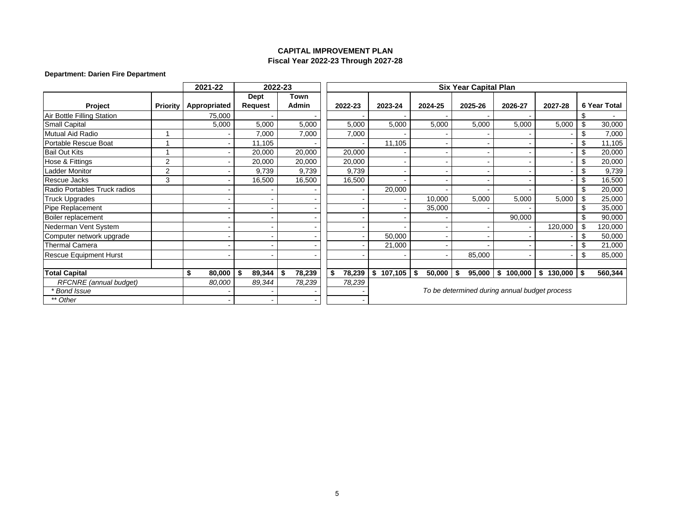## **Department: Darien Fire Department**

|                               |                 | 2021-22      |                | 2022-23      |                |                |               | <b>Six Year Capital Plan</b> |                                               |               |      |                     |  |  |  |
|-------------------------------|-----------------|--------------|----------------|--------------|----------------|----------------|---------------|------------------------------|-----------------------------------------------|---------------|------|---------------------|--|--|--|
|                               |                 |              | Dept           | Town         |                |                |               |                              |                                               |               |      |                     |  |  |  |
| Project                       | <b>Priority</b> | Appropriated | Request        | <b>Admin</b> | 2022-23        | 2023-24        | 2024-25       | 2025-26                      | 2026-27                                       | 2027-28       |      | <b>6 Year Total</b> |  |  |  |
| Air Bottle Filling Station    |                 | 75,000       |                |              |                |                |               |                              |                                               |               |      |                     |  |  |  |
| <b>Small Capital</b>          |                 | 5,000        | 5,000          | 5,000        | 5,000          | 5,000          | 5,000         | 5,000                        | 5,000                                         | 5,000         | \$   | 30,000              |  |  |  |
| Mutual Aid Radio              |                 |              | 7,000          | 7,000        | 7,000          |                |               |                              |                                               |               | \$   | 7,000               |  |  |  |
| Portable Rescue Boat          |                 |              | 11,105         |              |                | 11,105         |               |                              |                                               |               | \$   | 11,105              |  |  |  |
| <b>Bail Out Kits</b>          |                 |              | 20,000         | 20,000       | 20,000         |                |               |                              |                                               |               | \$   | 20,000              |  |  |  |
| Hose & Fittings               | $\overline{2}$  |              | 20,000         | 20,000       | 20,000         | $\blacksquare$ |               |                              |                                               |               | \$   | 20,000              |  |  |  |
| Ladder Monitor                | $\overline{2}$  |              | 9.739          | 9,739        | 9.739          |                |               |                              |                                               |               |      | 9,739               |  |  |  |
| Rescue Jacks                  | 3               |              | 16,500         | 16,500       | 16,500         |                |               |                              |                                               |               |      | 16,500              |  |  |  |
| Radio Portables Truck radios  |                 |              |                |              | $\blacksquare$ | 20,000         |               |                              |                                               |               |      | 20,000              |  |  |  |
| Truck Upgrades                |                 |              |                |              |                | $\blacksquare$ | 10,000        | 5,000                        | 5,000                                         | 5,000         |      | 25,000              |  |  |  |
| Pipe Replacement              |                 |              |                |              |                | -              | 35,000        |                              |                                               |               |      | 35,000              |  |  |  |
| Boiler replacement            |                 |              |                |              |                |                |               |                              | 90,000                                        |               |      | 90,000              |  |  |  |
| Nederman Vent System          |                 |              |                |              |                |                |               |                              |                                               | 120,000       | \$   | 120,000             |  |  |  |
| Computer network upgrade      |                 |              |                |              |                | 50,000         |               |                              |                                               |               |      | 50,000              |  |  |  |
| <b>Thermal Camera</b>         |                 |              |                |              |                | 21,000         |               |                              |                                               |               |      | 21,000              |  |  |  |
| <b>Rescue Equipment Hurst</b> |                 |              | $\blacksquare$ |              | $\blacksquare$ | $\blacksquare$ |               | 85,000                       |                                               |               | \$   | 85,000              |  |  |  |
|                               |                 |              |                |              |                |                |               |                              |                                               |               |      |                     |  |  |  |
| <b>Total Capital</b>          |                 | \$<br>80,000 | 89,344<br>\$   | 78,239<br>\$ | \$<br>78,239   | \$<br>107,105  | 50,000<br>-\$ | 95,000<br>\$                 | \$<br>100,000                                 | \$<br>130,000 | - \$ | 560,344             |  |  |  |
| RFCNRE (annual budget)        |                 | 80,000       | 89,344         | 78,239       | 78,239         |                |               |                              |                                               |               |      |                     |  |  |  |
| * Bond Issue                  |                 |              |                |              |                |                |               |                              | To be determined during annual budget process |               |      |                     |  |  |  |
| ** Other                      |                 |              |                |              |                |                |               |                              |                                               |               |      |                     |  |  |  |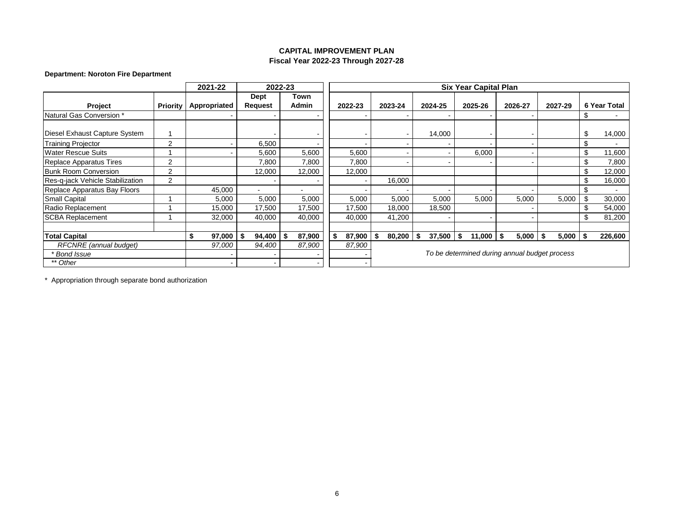## **Department: Noroton Fire Department**

|                                  |                 | 2021-22      |                | 2022-23       |        |         |         |                | <b>Six Year Capital Plan</b>                  |    |                |         |                     |
|----------------------------------|-----------------|--------------|----------------|---------------|--------|---------|---------|----------------|-----------------------------------------------|----|----------------|---------|---------------------|
|                                  |                 |              | <b>Dept</b>    | Town<br>Admin |        |         |         |                |                                               |    |                |         | <b>6 Year Total</b> |
| Project                          | <b>Priority</b> | Appropriated | <b>Request</b> |               |        | 2022-23 | 2023-24 | 2024-25        | 2025-26                                       |    | 2026-27        | 2027-29 |                     |
| Natural Gas Conversion *         |                 |              |                |               |        |         |         |                |                                               |    | $\blacksquare$ |         |                     |
| Diesel Exhaust Capture System    |                 |              |                |               |        |         |         | 14,000         |                                               |    | $\blacksquare$ |         | \$<br>14,000        |
| <b>Training Projector</b>        | $\overline{2}$  |              | 6,500          |               |        |         |         |                |                                               |    | $\blacksquare$ |         | \$                  |
| <b>Water Rescue Suits</b>        |                 |              | 5,600          |               | 5,600  | 5,600   |         |                | 6,000                                         |    | $\blacksquare$ |         | \$<br>11,600        |
| Replace Apparatus Tires          | $\overline{2}$  |              | 7,800          |               | 7,800  | 7,800   |         |                |                                               |    | $\blacksquare$ |         | \$<br>7,800         |
| <b>Bunk Room Conversion</b>      | $\overline{2}$  |              | 12,000         |               | 12,000 | 12,000  |         |                |                                               |    |                |         | \$<br>12,000        |
| Res-g-jack Vehicle Stabilization | $\overline{2}$  |              |                |               |        |         | 16,000  |                |                                               |    |                |         | \$<br>16,000        |
| Replace Apparatus Bay Floors     |                 | 45,000       |                |               |        |         |         |                |                                               |    |                |         |                     |
| <b>Small Capital</b>             |                 | 5,000        | 5,000          |               | 5,000  | 5,000   | 5,000   | 5,000          | 5,000                                         |    | 5,000          | 5,000   | \$<br>30,000        |
| Radio Replacement                |                 | 15,000       | 17,500         |               | 17,500 | 17,500  | 18,000  | 18,500         |                                               |    | $\blacksquare$ |         | 54,000              |
| <b>SCBA Replacement</b>          |                 | 32,000       | 40,000         |               | 40,000 | 40,000  | 41,200  |                |                                               |    | $\blacksquare$ |         | \$<br>81,200        |
|                                  |                 |              |                |               |        |         |         |                |                                               |    |                |         |                     |
| <b>Total Capital</b>             |                 | 97,000       | 94,400<br>-\$  | S             | 87,900 | 87,900  | 80,200  | 37,500<br>- \$ | \$<br>11,000                                  | S. | 5,000          | 5,000   | \$<br>226,600       |
| RFCNRE (annual budget)           |                 | 97,000       | 94,400         |               | 87,900 | 87,900  |         |                |                                               |    |                |         |                     |
| <b>Bond Issue</b>                |                 |              |                |               |        |         |         |                | To be determined during annual budget process |    |                |         |                     |
| ** Other                         |                 |              |                |               |        |         |         |                |                                               |    |                |         |                     |

\* Appropriation through separate bond authorization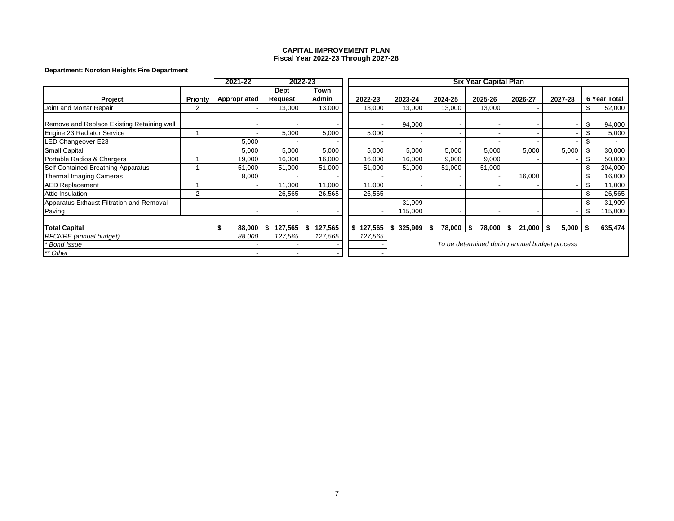### **Department: Noroton Heights Fire Department**

|                                            |                | 2021-22      |                          | 2022-23        |               |              |         | <b>Six Year Capital Plan</b>                  |              |             |      |              |
|--------------------------------------------|----------------|--------------|--------------------------|----------------|---------------|--------------|---------|-----------------------------------------------|--------------|-------------|------|--------------|
|                                            |                |              | <b>Dept</b>              | Town           |               |              |         |                                               |              |             |      |              |
| Project                                    | Priority       | Appropriated | <b>Request</b>           | Admin          | 2022-23       | 2023-24      | 2024-25 | 2025-26                                       | 2026-27      | 2027-28     |      | 6 Year Total |
| Joint and Mortar Repair                    | $\overline{2}$ |              | 13,000                   | 13,000         | 13,000        | 13,000       | 13,000  | 13,000                                        |              |             |      | 52,000       |
|                                            |                |              |                          |                |               |              |         |                                               |              |             |      |              |
| Remove and Replace Existing Retaining wall |                |              |                          |                |               | 94,000       |         |                                               |              |             |      | 94,000       |
| Engine 23 Radiator Service                 |                |              | 5,000                    | 5,000          | 5,000         |              |         |                                               |              |             |      | 5,000        |
| LED Changeover E23                         |                | 5,000        |                          |                |               |              |         |                                               |              |             |      |              |
| <b>Small Capital</b>                       |                | 5,000        | 5,000                    | 5,000          | 5,000         | 5,000        | 5,000   | 5,000                                         | 5,000        | 5,000       |      | 30,000       |
| Portable Radios & Chargers                 |                | 19,000       | 16,000                   | 16,000         | 16,000        | 16,000       | 9,000   | 9,000                                         |              |             |      | 50,000       |
| Self Contained Breathing Apparatus         |                | 51,000       | 51,000                   | 51,000         | 51,000        | 51,000       | 51,000  | 51,000                                        |              |             |      | 204,000      |
| Thermal Imaging Cameras                    |                | 8,000        |                          |                |               |              |         |                                               | 16,000       |             |      | 16,000       |
| <b>AED Replacement</b>                     |                |              | 11,000                   | 11,000         | 11,000        |              |         |                                               |              |             |      | 11,000       |
| <b>Attic Insulation</b>                    | 2              |              | 26,565                   | 26,565         | 26,565        |              |         |                                               |              |             |      | 26,565       |
| Apparatus Exhaust Filtration and Removal   |                |              | $\overline{\phantom{a}}$ |                |               | 31,909       |         |                                               |              |             |      | 31,909       |
| Paving                                     |                |              | $\overline{\phantom{a}}$ |                |               | 115,000      |         |                                               |              |             |      | 115,000      |
|                                            |                |              |                          |                |               |              |         |                                               |              |             |      |              |
| <b>Total Capital</b>                       |                | 88,000       | 127,565                  | 127,565<br>-56 | 127,565<br>\$ | $325,909$ \$ | 78,000  | -\$<br>78,000                                 | \$<br>21,000 | \$<br>5,000 | l \$ | 635,474      |
| <b>RFCNRE</b> (annual budget)              |                | 88,000       | 127,565                  | 127,565        | 127,565       |              |         |                                               |              |             |      |              |
| * Bond Issue                               |                |              |                          |                |               |              |         | To be determined during annual budget process |              |             |      |              |
| ** Other                                   |                |              |                          |                |               |              |         |                                               |              |             |      |              |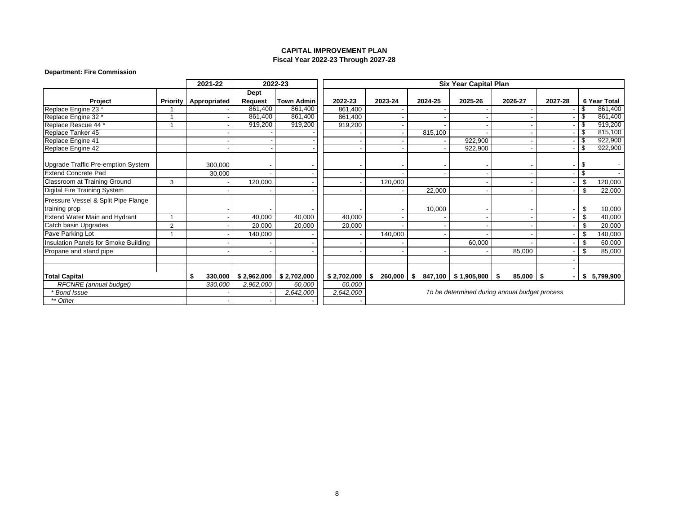#### **Department: Fire Commission**

|                                      |                 | 2021-22       |             | 2022-23           |             |               |         | <b>Six Year Capital Plan</b> |                                               |         |      |              |
|--------------------------------------|-----------------|---------------|-------------|-------------------|-------------|---------------|---------|------------------------------|-----------------------------------------------|---------|------|--------------|
|                                      |                 |               | <b>Dept</b> |                   |             |               |         |                              |                                               |         |      |              |
| <b>Project</b>                       | <b>Priority</b> | Appropriated  | Request     | <b>Town Admin</b> | 2022-23     | 2023-24       | 2024-25 | 2025-26                      | 2026-27                                       | 2027-28 |      | 6 Year Total |
| Replace Engine 23 *                  |                 |               | 861,400     | 861,400           | 861,400     |               |         |                              |                                               |         |      | 861,400      |
| Replace Engine 32 *                  |                 |               | 861,400     | 861,400           | 861,400     |               |         |                              |                                               |         | - \$ | 861,400      |
| Replace Rescue 44 *                  |                 |               | 919,200     | 919,200           | 919,200     |               |         |                              |                                               |         | - 35 | 919,200      |
| Replace Tanker 45                    |                 |               |             |                   |             |               | 815,100 |                              |                                               |         |      | 815,100      |
| Replace Engine 41                    |                 |               |             |                   |             |               |         | 922,900                      |                                               |         | - \$ | 922,900      |
| Replace Engine 42                    |                 |               |             |                   |             |               |         | 922,900                      |                                               |         |      | 922,900      |
| Upgrade Traffic Pre-emption System   |                 | 300.000       |             |                   |             |               |         |                              |                                               |         | \$   |              |
| <b>Extend Concrete Pad</b>           |                 | 30,000        |             |                   |             |               |         |                              |                                               |         | \$   |              |
| Classroom at Training Ground         | 3               |               | 120,000     |                   |             | 120,000       |         |                              |                                               |         | \$   | 120,000      |
| Digital Fire Training System         |                 |               |             |                   |             |               | 22,000  |                              |                                               |         |      | 22,000       |
| Pressure Vessel & Split Pipe Flange  |                 |               |             |                   |             |               |         |                              |                                               |         |      |              |
| training prop                        |                 |               |             |                   |             |               | 10,000  |                              |                                               |         | \$.  | 10,000       |
| <b>Extend Water Main and Hydrant</b> | 1               |               | 40,000      | 40,000            | 40,000      |               |         |                              |                                               |         |      | 40,000       |
| Catch basin Upgrades                 | $\overline{2}$  |               | 20,000      | 20,000            | 20,000      |               |         |                              |                                               |         |      | 20,000       |
| Pave Parking Lot                     |                 |               | 140,000     |                   |             | 140,000       |         |                              |                                               |         | ß.   | 140,000      |
| Insulation Panels for Smoke Building |                 |               |             |                   |             |               |         | 60,000                       |                                               |         |      | 60,000       |
| Propane and stand pipe               |                 |               |             |                   |             |               |         |                              | 85,000                                        |         |      | 85,000       |
|                                      |                 |               |             |                   |             |               |         |                              |                                               |         |      |              |
|                                      |                 |               |             |                   |             |               |         |                              |                                               |         |      |              |
| <b>Total Capital</b>                 |                 | \$<br>330,000 | \$2,962,000 | \$2,702,000       | \$2,702,000 | \$<br>260,000 | - \$    | 847,100 \$1,905,800          | -\$<br>85,000                                 | \$      | s.   | 5,799,900    |
| RFCNRE (annual budget)               |                 | 330,000       | 2,962,000   | 60,000            | 60,000      |               |         |                              |                                               |         |      |              |
| <b>Bond Issue</b>                    |                 |               |             | 2,642,000         | 2,642,000   |               |         |                              | To be determined during annual budget process |         |      |              |
| ** Other                             |                 |               |             |                   |             |               |         |                              |                                               |         |      |              |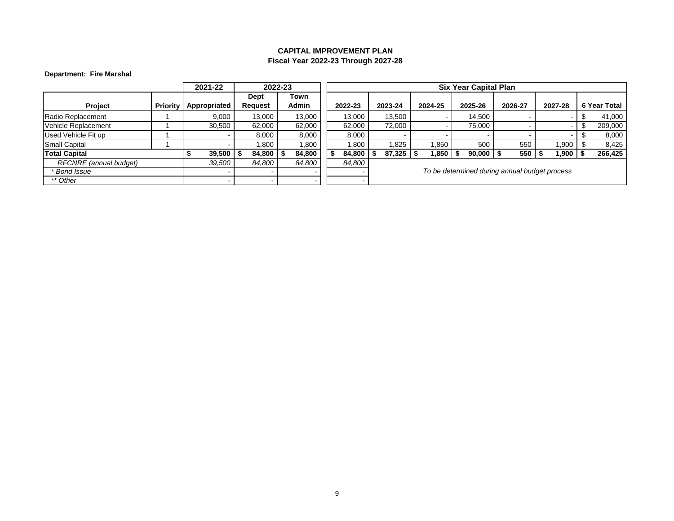## **Department: Fire Marshal**

|                        |                 | 2021-22                  |                | 2022-23 |         |                                               |         | <b>Six Year Capital Plan</b> |         |                          |  |              |  |  |  |  |
|------------------------|-----------------|--------------------------|----------------|---------|---------|-----------------------------------------------|---------|------------------------------|---------|--------------------------|--|--------------|--|--|--|--|
|                        |                 |                          | Dept           | Town    |         |                                               |         |                              |         |                          |  |              |  |  |  |  |
| Project                | <b>Priority</b> | Appropriated             | <b>Request</b> | Admin   | 2022-23 | 2023-24                                       | 2024-25 | 2025-26                      | 2026-27 | 2027-28                  |  | 6 Year Total |  |  |  |  |
| Radio Replacement      |                 | 9,000                    | 13,000         | 13,000  | 13.000  | 13,500                                        |         | 14.500                       |         | $\overline{\phantom{a}}$ |  | 41,000       |  |  |  |  |
| Vehicle Replacement    |                 | 30,500                   | 62,000         | 62,000  | 62.000  | 72,000                                        |         | 75,000                       |         | $\,$ $\,$                |  | 209,000      |  |  |  |  |
| Used Vehicle Fit up    |                 |                          | 8,000          | 8,000   | 8,000   |                                               |         |                              |         | $\overline{\phantom{0}}$ |  | 8,000        |  |  |  |  |
| Small Capital          |                 |                          | .800           | 1,800   | .800    | .825                                          | 1,850   | 500                          | 550     | .900                     |  | 8,425        |  |  |  |  |
| <b>Total Capital</b>   |                 | 39,500                   | 84,800         | 84,800  | 84,800  | 87,325                                        | 1,850   | 90,000                       | 550     | 1,900                    |  | 266,425      |  |  |  |  |
| RFCNRE (annual budget) |                 | 39,500                   | 84,800         | 84,800  | 84,800  |                                               |         |                              |         |                          |  |              |  |  |  |  |
| * Bond Issue           |                 |                          |                |         |         | To be determined during annual budget process |         |                              |         |                          |  |              |  |  |  |  |
| ** Other               |                 | $\overline{\phantom{a}}$ | -              |         |         |                                               |         |                              |         |                          |  |              |  |  |  |  |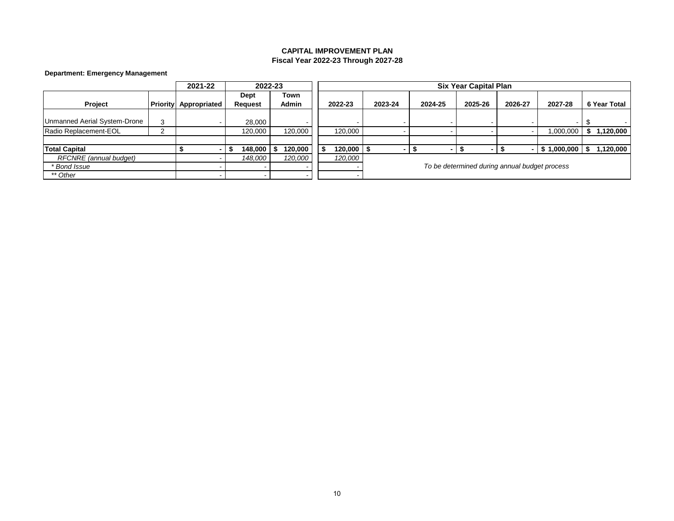## **Department: Emergency Management**

|                              |   | 2021-22                      |                          | 2022-23              |                                               |              |         |         | <b>Six Year Capital Plan</b> |         |                |              |  |
|------------------------------|---|------------------------------|--------------------------|----------------------|-----------------------------------------------|--------------|---------|---------|------------------------------|---------|----------------|--------------|--|
| Project                      |   | <b>Priority Appropriated</b> | Dept<br><b>Request</b>   | Town<br><b>Admin</b> |                                               | 2022-23      | 2023-24 | 2024-25 | 2025-26                      | 2026-27 | 2027-28        | 6 Year Total |  |
|                              |   |                              |                          |                      |                                               |              |         |         |                              |         |                |              |  |
| Unmanned Aerial System-Drone | 3 |                              | 28.000                   |                      |                                               |              |         |         |                              |         |                |              |  |
| Radio Replacement-EOL        |   |                              | 120,000                  | 120,000              |                                               | 120,000      |         |         |                              |         | 1,000,000      | 1,120,000    |  |
|                              |   |                              |                          |                      |                                               |              |         |         |                              |         |                |              |  |
| <b>Total Capital</b>         |   |                              | $148,000$ \ \$           | 120,000              |                                               | $120,000$ \$ |         |         |                              |         | 1,000,000<br>ъ | 120,000      |  |
| RFCNRE (annual budget)       |   |                              | 148,000                  | 120,000              |                                               | 120,000      |         |         |                              |         |                |              |  |
| * Bond Issue                 |   |                              | $\overline{\phantom{0}}$ |                      | To be determined during annual budget process |              |         |         |                              |         |                |              |  |
| ** Other                     |   |                              | $\,$                     |                      |                                               |              |         |         |                              |         |                |              |  |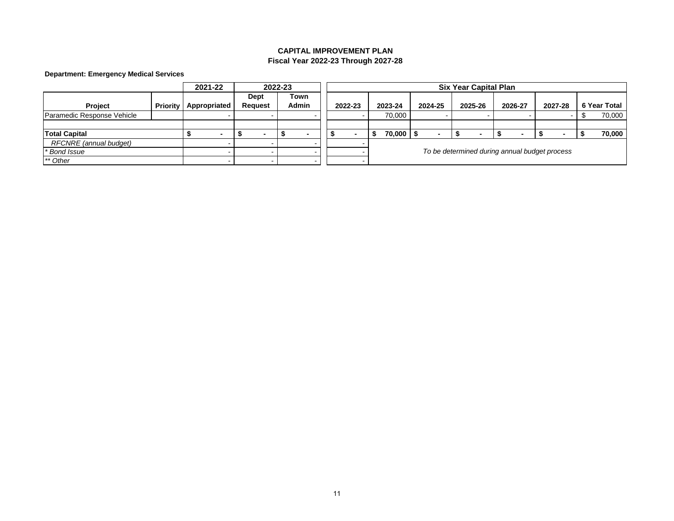## **Department: Emergency Medical Services**

|                            |                 |  | 2021-22      |  | 2022-23                  |  |              |                                               |  |         |  |         |  |         |  | <b>Six Year Capital Plan</b> |         |         |  |              |
|----------------------------|-----------------|--|--------------|--|--------------------------|--|--------------|-----------------------------------------------|--|---------|--|---------|--|---------|--|------------------------------|---------|---------|--|--------------|
|                            |                 |  |              |  | Dept                     |  | Town         |                                               |  |         |  |         |  |         |  |                              |         |         |  |              |
| Project                    | <b>Priority</b> |  | Appropriated |  | <b>Request</b>           |  | <b>Admin</b> |                                               |  | 2022-23 |  | 2023-24 |  | 2024-25 |  | 2025-26                      | 2026-27 | 2027-28 |  | 6 Year Total |
| Paramedic Response Vehicle |                 |  |              |  |                          |  |              |                                               |  |         |  | 70.000  |  |         |  |                              |         |         |  | 70,000       |
|                            |                 |  |              |  |                          |  |              |                                               |  |         |  |         |  |         |  |                              |         |         |  |              |
| <b>Total Capital</b>       |                 |  |              |  | -                        |  |              |                                               |  |         |  | 70,000  |  |         |  |                              |         |         |  | 70,000       |
| RFCNRE (annual budget)     |                 |  |              |  |                          |  |              |                                               |  |         |  |         |  |         |  |                              |         |         |  |              |
| * Bond Issue               |                 |  |              |  |                          |  |              | To be determined during annual budget process |  |         |  |         |  |         |  |                              |         |         |  |              |
| ** Other                   |                 |  |              |  | $\overline{\phantom{a}}$ |  |              |                                               |  |         |  |         |  |         |  |                              |         |         |  |              |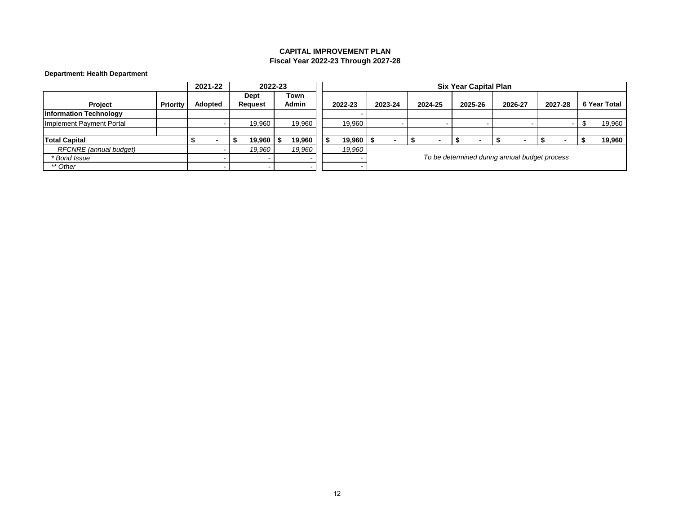# **Department: Health Department**

|                               |          | 2021-22 |   |                | 2022-23 |                          |         |                                               |         |  |         |  | <b>Six Year Capital Plan</b> |  |         |         |  |              |
|-------------------------------|----------|---------|---|----------------|---------|--------------------------|---------|-----------------------------------------------|---------|--|---------|--|------------------------------|--|---------|---------|--|--------------|
|                               |          |         |   | Dept           |         | Town                     |         |                                               |         |  |         |  |                              |  |         |         |  |              |
| Project                       | Priority | Adopted |   | <b>Request</b> |         | <b>Admin</b>             | 2022-23 |                                               | 2023-24 |  | 2024-25 |  | 2025-26                      |  | 2026-27 | 2027-28 |  | 6 Year Total |
| <b>Information Technology</b> |          |         |   |                |         |                          |         |                                               |         |  |         |  |                              |  |         |         |  |              |
| Implement Payment Portal      |          |         |   |                | 19.960  | 19,960                   | 19.960  |                                               |         |  |         |  |                              |  |         |         |  | 19,960       |
|                               |          |         |   |                |         |                          |         |                                               |         |  |         |  |                              |  |         |         |  |              |
| <b>Total Capital</b>          |          |         | - |                | 19,960  | 19.960                   | 19.960  |                                               |         |  |         |  |                              |  |         |         |  | 19,960       |
| RFCNRE (annual budget)        |          |         |   |                | 19.960  | 19,960                   | 19,960  |                                               |         |  |         |  |                              |  |         |         |  |              |
| * Bond Issue                  |          |         |   |                |         |                          |         | To be determined during annual budget process |         |  |         |  |                              |  |         |         |  |              |
| ** Other                      |          |         |   |                |         | $\overline{\phantom{a}}$ |         |                                               |         |  |         |  |                              |  |         |         |  |              |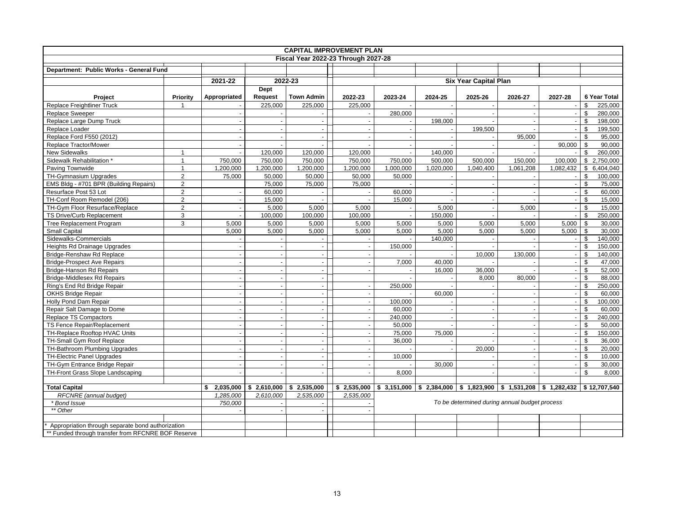| <b>CAPITAL IMPROVEMENT PLAN</b>                    |                |                    |                          |                          |                          |                          |                           |                              |                                               |                          |                         |
|----------------------------------------------------|----------------|--------------------|--------------------------|--------------------------|--------------------------|--------------------------|---------------------------|------------------------------|-----------------------------------------------|--------------------------|-------------------------|
| Fiscal Year 2022-23 Through 2027-28                |                |                    |                          |                          |                          |                          |                           |                              |                                               |                          |                         |
| Department: Public Works - General Fund            |                |                    |                          |                          |                          |                          |                           |                              |                                               |                          |                         |
|                                                    |                | 2022-23<br>2021-22 |                          |                          |                          |                          |                           | <b>Six Year Capital Plan</b> |                                               |                          |                         |
|                                                    |                |                    | Dept                     |                          |                          |                          |                           |                              |                                               |                          |                         |
| Project                                            | Priority       | Appropriated       | Request                  | <b>Town Admin</b>        | 2022-23                  | 2023-24                  | 2024-25                   | 2025-26                      | 2026-27                                       | 2027-28                  | 6 Year Total            |
| <b>Replace Freightliner Truck</b>                  | $\mathbf{1}$   |                    | 225,000                  | 225,000                  | 225,000                  |                          |                           |                              |                                               | $\overline{\phantom{a}}$ | \$<br>225.000           |
| <b>Replace Sweeper</b>                             |                |                    |                          |                          |                          | 280,000                  |                           |                              |                                               |                          | \$<br>280,000           |
| Replace Large Dump Truck                           |                |                    | $\sim$                   | $\sim$                   | $\overline{a}$           | $\overline{\phantom{a}}$ | 198.000                   |                              |                                               | $\sim$                   | \$<br>198.000           |
| Replace Loader                                     |                |                    |                          | $\sim$                   |                          |                          |                           | 199,500                      |                                               | $\overline{\phantom{a}}$ | \$<br>199,500           |
| Replace Ford F550 (2012)                           |                |                    |                          | $\sim$                   |                          | $\sim$                   |                           | $\mathbf{r}$                 | 95,000                                        | $\sim$                   | \$<br>95,000            |
| Replace Tractor/Mower                              |                |                    |                          |                          |                          |                          |                           |                              |                                               | 90,000                   | 90,000<br>\$            |
| <b>New Sidewalks</b>                               | $\mathbf{1}$   | $\mathbf{r}$       | 120,000                  | 120,000                  | 120,000                  | $\sim$                   | 140,000                   |                              |                                               |                          | \$<br>260,000           |
| Sidewalk Rehabilitation *                          | $\mathbf{1}$   | 750,000            | 750,000                  | 750,000                  | 750,000                  | 750,000                  | 500,000                   | 500,000                      | 150,000                                       | 100,000                  | \$2,750,000             |
| Paving Townwide                                    | $\mathbf{1}$   | 1,200,000          | 1,200,000                | 1,200,000                | 1,200,000                | 1,000,000                | 1,020,000                 | 1,040,400                    | 1,061,208                                     | 1,082,432                | \$ 6,404,040            |
| TH-Gymnasium Upgrades                              | $\overline{2}$ | 75,000             | 50,000                   | 50,000                   | 50,000                   | 50,000                   |                           |                              |                                               |                          | \$<br>100,000           |
| EMS Bldg - #701 BPR (Building Repairs)             | $\mathbf 2$    |                    | 75,000                   | 75,000                   | 75,000                   |                          |                           | $\overline{\phantom{a}}$     |                                               | $\blacksquare$           | \$<br>75,000            |
| Resurface Post 53 Lot                              | $\overline{2}$ |                    | 60,000                   |                          |                          | 60,000                   |                           | $\overline{a}$               |                                               | $\sim$                   | \$<br>60,000            |
| TH-Conf Room Remodel (206)                         | $\overline{2}$ | $\mathbf{r}$       | 15,000                   |                          |                          | 15,000                   |                           | $\mathbf{r}$                 |                                               | $\blacksquare$           | \$<br>15,000            |
| TH-Gym Floor Resurface/Replace                     | $\overline{2}$ |                    | 5,000                    | 5,000                    | 5,000                    |                          | 5,000                     |                              | 5,000                                         | $\blacksquare$           | \$<br>15,000            |
| TS Drive/Curb Replacement                          | 3              | $\sim$             | 100,000                  | 100,000                  | 100,000                  | $\sim$                   | 150,000                   | $\overline{\phantom{a}}$     |                                               | $\sim$                   | \$<br>250,000           |
| Tree Replacement Program                           | 3              | 5,000              | 5,000                    | 5,000                    | 5,000                    | 5,000                    | 5,000                     | 5,000                        | 5,000                                         | 5,000                    | \$<br>30,000            |
| Small Capital                                      |                | 5,000              | 5,000                    | 5,000                    | 5,000                    | 5,000                    | 5,000                     | 5,000                        | 5,000                                         | 5,000                    | \$<br>30.000            |
| Sidewalks-Commercials                              |                |                    |                          |                          |                          |                          | 140,000                   |                              |                                               | $\sim$                   | \$<br>140,000           |
| Heights Rd Drainage Upgrades                       |                | $\sim$             | $\overline{a}$           | $\sim$                   | $\overline{a}$           | 150,000                  |                           | $\overline{a}$               |                                               | $\blacksquare$           | \$<br>150,000           |
| Bridge-Renshaw Rd Replace                          |                |                    | ÷,                       | $\overline{\phantom{a}}$ |                          |                          |                           | 10,000                       | 130,000                                       | $\overline{\phantom{a}}$ | \$<br>140,000           |
| <b>Bridge-Prospect Ave Repairs</b>                 |                |                    | $\overline{a}$           | $\sim$                   | $\overline{\phantom{a}}$ | 7,000                    | 40,000                    |                              |                                               | $\overline{\phantom{a}}$ | \$<br>47,000            |
| <b>Bridge-Hanson Rd Repairs</b>                    |                |                    | $\sim$                   | $\overline{\phantom{a}}$ |                          |                          | 16,000                    | 36,000                       |                                               | $\overline{\phantom{a}}$ | \$<br>52,000            |
| <b>Bridge-Middlesex Rd Repairs</b>                 |                |                    | $\sim$                   | $\overline{\phantom{a}}$ |                          | $\overline{\phantom{a}}$ |                           | 8,000                        | 80,000                                        | $\omega$                 | $\mathfrak s$<br>88.000 |
| Ring's End Rd Bridge Repair                        |                |                    | ÷.                       | $\overline{\phantom{a}}$ |                          | 250,000                  |                           | $\sim$                       |                                               | $\overline{\phantom{a}}$ | \$<br>250,000           |
| OKHS Bridge Repair                                 |                |                    | $\overline{a}$           | $\overline{\phantom{a}}$ | $\sim$                   |                          | 60,000                    | $\mathbf{u}$                 |                                               | $\blacksquare$           | \$<br>60.000            |
| Holly Pond Dam Repair                              |                |                    | ÷,                       | $\overline{\phantom{a}}$ | $\sim$                   | 100,000                  |                           | $\sim$                       |                                               | $\overline{\phantom{a}}$ | \$<br>100,000           |
| Repair Salt Damage to Dome                         |                |                    | $\sim$                   | $\overline{\phantom{a}}$ | $\sim$                   | 60,000                   |                           | $\blacksquare$               | ÷,                                            | $\overline{\phantom{a}}$ | \$<br>60,000            |
| Replace TS Compactors                              |                |                    |                          | $\sim$                   |                          | 240,000                  |                           | $\overline{\phantom{a}}$     |                                               | $\overline{\phantom{a}}$ | \$<br>240.000           |
| TS Fence Repair/Replacement                        |                |                    | $\sim$                   | $\overline{\phantom{a}}$ | $\sim$                   | 50,000                   |                           | $\overline{\phantom{a}}$     | ٠.                                            | $\overline{\phantom{a}}$ | \$<br>50,000            |
| TH-Replace Rooftop HVAC Units                      |                |                    | ÷.                       | $\overline{a}$           |                          | 75,000                   | 75,000                    | $\overline{\phantom{a}}$     |                                               | $\sim$                   | \$<br>150,000           |
| TH-Small Gym Roof Replace                          |                |                    | ÷.                       | $\sim$                   | $\overline{a}$           | 36.000                   |                           |                              |                                               | $\blacksquare$           | \$<br>36.000            |
| TH-Bathroom Plumbing Upgrades                      |                |                    | $\overline{\phantom{a}}$ | $\overline{\phantom{a}}$ |                          |                          |                           | 20,000                       |                                               | $\overline{\phantom{a}}$ | \$<br>20,000            |
| TH-Electric Panel Upgrades                         |                |                    | $\sim$                   | $\overline{\phantom{a}}$ | $\sim$                   | 10,000                   |                           | $\mathbf{r}$                 | $\sim$                                        | $\blacksquare$           | \$<br>10,000            |
| TH-Gym Entrance Bridge Repair                      |                |                    | ÷.                       | $\sim$                   |                          |                          | 30.000                    | $\overline{a}$               |                                               | $\sim$                   | \$<br>30.000            |
| TH-Front Grass Slope Landscaping                   |                |                    | ÷.                       | $\overline{\phantom{a}}$ | $\overline{a}$           | 8,000                    |                           | $\overline{a}$               |                                               | $\overline{\phantom{a}}$ | \$<br>8,000             |
|                                                    |                |                    |                          |                          |                          |                          |                           |                              |                                               |                          |                         |
| <b>Total Capital</b>                               |                | 2,035,000<br>\$    | \$2.610.000              | 2,535,000<br>\$          | \$2,535,000              |                          | $$3,151,000$ $$2,384,000$ | \$1.823.900                  | $$1.531.208 \mid $1.282.432$$                 |                          | \$12.707.540            |
| RFCNRE (annual budget)                             |                | 1,285,000          | 2,610,000                | 2,535,000                | 2,535,000                |                          |                           |                              |                                               |                          |                         |
| * Bond Issue                                       |                | 750,000            |                          |                          |                          |                          |                           |                              | To be determined during annual budget process |                          |                         |
| ** Other                                           |                |                    |                          |                          |                          |                          |                           |                              |                                               |                          |                         |
|                                                    |                |                    |                          |                          |                          |                          |                           |                              |                                               |                          |                         |
| Appropriation through separate bond authorization  |                |                    |                          |                          |                          |                          |                           |                              |                                               |                          |                         |
| ** Funded through transfer from RFCNRE BOF Reserve |                |                    |                          |                          |                          |                          |                           |                              |                                               |                          |                         |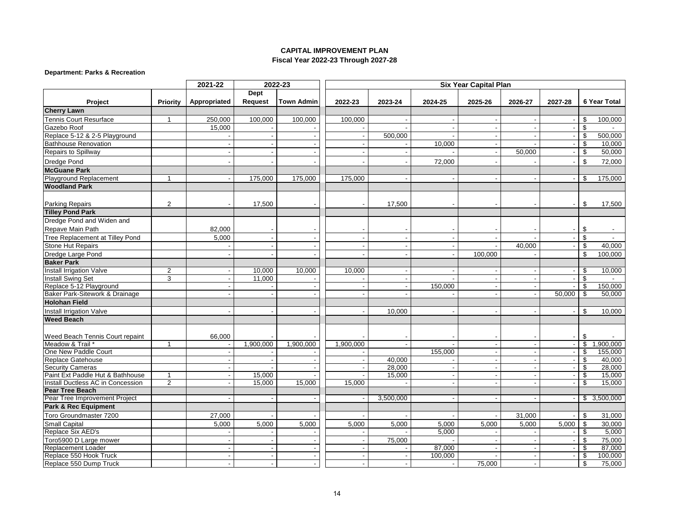### **Department: Parks & Recreation**

| <b>Dept</b><br><b>Town Admin</b><br>2025-26<br><b>6 Year Total</b><br>Project<br><b>Priority</b><br>Appropriated<br>Request<br>2022-23<br>2023-24<br>2024-25<br>2026-27<br>2027-28<br><b>Cherry Lawn</b><br>Tennis Court Resurface<br>100,000<br>100,000<br>250,000<br>100,000<br>\$<br>100,000<br>$\mathbf{1}$<br>\$<br>Gazebo Roof<br>15,000<br>Replace 5-12 & 2-5 Playground<br>500,000<br>\$<br>500,000<br><b>Bathhouse Renovation</b><br>10,000<br>\$<br>10,000<br>$\sim$<br>\$<br>50,000<br>50,000<br>Repairs to Spillway<br>\$<br>Dredge Pond<br>72,000<br>72,000<br><b>McGuane Park</b><br>Playground Replacement<br>175,000<br>175,000<br>175,000<br>175,000<br>$\overline{\mathbf{1}}$<br>\$<br><b>Woodland Park</b><br>$\overline{2}$<br><b>Parking Repairs</b><br>17,500<br>17,500<br>\$<br>17,500<br><b>Tilley Pond Park</b><br>Dredge Pond and Widen and<br>Repave Main Path<br>82,000<br>\$<br>\$<br>Tree Replacement at Tilley Pond<br>5,000<br>$\overline{\phantom{a}}$<br>$\overline{\phantom{a}}$<br><b>Stone Hut Repairs</b><br>40,000<br>\$<br>40,000<br>$\blacksquare$<br>$\overline{\phantom{a}}$<br>Dredge Large Pond<br>\$<br>100,000<br>100,000<br>$\overline{\phantom{a}}$<br>$\overline{a}$<br><b>Baker Park</b><br><b>Install Irrigation Valve</b><br>$\overline{2}$<br>10,000<br>10,000<br>10.000<br>\$<br>10,000<br><b>Install Swing Set</b><br>3<br>11,000<br>\$.<br>Replace 5-12 Playground<br>150,000<br>\$<br>150,000<br>$\blacksquare$<br>Baker Park-Sitework & Drainage<br>50,000<br>\$<br>50,000<br>$\overline{a}$<br><b>Holohan Field</b><br>Install Irrigation Valve<br>10,000<br>\$<br>10,000<br><b>Weed Beach</b><br>66,000<br>\$<br>Weed Beach Tennis Court repaint<br>1,900,000<br>Meadow & Trail *<br>1,900,000<br>1,900,000<br>1,900,000<br>\$<br>1<br>One New Paddle Court<br>155,000<br>\$<br>155,000<br>$\sim$<br>40,000<br><b>Replace Gatehouse</b><br>\$<br>40,000<br>28,000<br>\$<br>28,000<br><b>Security Cameras</b><br>Paint Ext Paddle Hut & Bathhouse<br>15,000<br>15,000<br>15,000<br>\$<br>$\mathbf{1}$<br>$\overline{\phantom{a}}$<br>$\overline{2}$<br>Install Ductless AC in Concession<br>15,000<br>15,000<br>15,000<br>\$<br>15,000<br><b>Pear Tree Beach</b><br>\$3,500,000<br>Pear Tree Improvement Project<br>3,500,000<br><b>Park &amp; Rec Equipment</b><br>Toro Groundmaster 7200<br>27,000<br>31,000<br>\$<br>31,000<br>Small Capital<br>\$<br>30,000<br>5,000<br>5,000<br>5,000<br>5,000<br>5,000<br>5,000<br>5,000<br>5,000<br>5,000<br>Replace Six AED's<br>5,000<br>\$<br>5,000<br>\$<br>Toro5900 D Large mower<br>75,000<br>75,000<br>87,000<br>Replacement Loader<br>87,000<br>\$<br>Replace 550 Hook Truck<br>100,000<br>\$<br>100,000<br>$\overline{\phantom{a}}$ |                        | 2021-22 | 2022-23 | <b>Six Year Capital Plan</b> |  |  |        |  |  |    |        |
|--------------------------------------------------------------------------------------------------------------------------------------------------------------------------------------------------------------------------------------------------------------------------------------------------------------------------------------------------------------------------------------------------------------------------------------------------------------------------------------------------------------------------------------------------------------------------------------------------------------------------------------------------------------------------------------------------------------------------------------------------------------------------------------------------------------------------------------------------------------------------------------------------------------------------------------------------------------------------------------------------------------------------------------------------------------------------------------------------------------------------------------------------------------------------------------------------------------------------------------------------------------------------------------------------------------------------------------------------------------------------------------------------------------------------------------------------------------------------------------------------------------------------------------------------------------------------------------------------------------------------------------------------------------------------------------------------------------------------------------------------------------------------------------------------------------------------------------------------------------------------------------------------------------------------------------------------------------------------------------------------------------------------------------------------------------------------------------------------------------------------------------------------------------------------------------------------------------------------------------------------------------------------------------------------------------------------------------------------------------------------------------------------------------------------------------------------------------------------------------------------------------------------------------------------------------------------------------------------------------------------------------------------------------------------------------------------------------------------------------------------|------------------------|---------|---------|------------------------------|--|--|--------|--|--|----|--------|
|                                                                                                                                                                                                                                                                                                                                                                                                                                                                                                                                                                                                                                                                                                                                                                                                                                                                                                                                                                                                                                                                                                                                                                                                                                                                                                                                                                                                                                                                                                                                                                                                                                                                                                                                                                                                                                                                                                                                                                                                                                                                                                                                                                                                                                                                                                                                                                                                                                                                                                                                                                                                                                                                                                                                                  |                        |         |         |                              |  |  |        |  |  |    |        |
|                                                                                                                                                                                                                                                                                                                                                                                                                                                                                                                                                                                                                                                                                                                                                                                                                                                                                                                                                                                                                                                                                                                                                                                                                                                                                                                                                                                                                                                                                                                                                                                                                                                                                                                                                                                                                                                                                                                                                                                                                                                                                                                                                                                                                                                                                                                                                                                                                                                                                                                                                                                                                                                                                                                                                  |                        |         |         |                              |  |  |        |  |  |    |        |
|                                                                                                                                                                                                                                                                                                                                                                                                                                                                                                                                                                                                                                                                                                                                                                                                                                                                                                                                                                                                                                                                                                                                                                                                                                                                                                                                                                                                                                                                                                                                                                                                                                                                                                                                                                                                                                                                                                                                                                                                                                                                                                                                                                                                                                                                                                                                                                                                                                                                                                                                                                                                                                                                                                                                                  |                        |         |         |                              |  |  |        |  |  |    |        |
|                                                                                                                                                                                                                                                                                                                                                                                                                                                                                                                                                                                                                                                                                                                                                                                                                                                                                                                                                                                                                                                                                                                                                                                                                                                                                                                                                                                                                                                                                                                                                                                                                                                                                                                                                                                                                                                                                                                                                                                                                                                                                                                                                                                                                                                                                                                                                                                                                                                                                                                                                                                                                                                                                                                                                  |                        |         |         |                              |  |  |        |  |  |    |        |
|                                                                                                                                                                                                                                                                                                                                                                                                                                                                                                                                                                                                                                                                                                                                                                                                                                                                                                                                                                                                                                                                                                                                                                                                                                                                                                                                                                                                                                                                                                                                                                                                                                                                                                                                                                                                                                                                                                                                                                                                                                                                                                                                                                                                                                                                                                                                                                                                                                                                                                                                                                                                                                                                                                                                                  |                        |         |         |                              |  |  |        |  |  |    |        |
|                                                                                                                                                                                                                                                                                                                                                                                                                                                                                                                                                                                                                                                                                                                                                                                                                                                                                                                                                                                                                                                                                                                                                                                                                                                                                                                                                                                                                                                                                                                                                                                                                                                                                                                                                                                                                                                                                                                                                                                                                                                                                                                                                                                                                                                                                                                                                                                                                                                                                                                                                                                                                                                                                                                                                  |                        |         |         |                              |  |  |        |  |  |    |        |
|                                                                                                                                                                                                                                                                                                                                                                                                                                                                                                                                                                                                                                                                                                                                                                                                                                                                                                                                                                                                                                                                                                                                                                                                                                                                                                                                                                                                                                                                                                                                                                                                                                                                                                                                                                                                                                                                                                                                                                                                                                                                                                                                                                                                                                                                                                                                                                                                                                                                                                                                                                                                                                                                                                                                                  |                        |         |         |                              |  |  |        |  |  |    |        |
|                                                                                                                                                                                                                                                                                                                                                                                                                                                                                                                                                                                                                                                                                                                                                                                                                                                                                                                                                                                                                                                                                                                                                                                                                                                                                                                                                                                                                                                                                                                                                                                                                                                                                                                                                                                                                                                                                                                                                                                                                                                                                                                                                                                                                                                                                                                                                                                                                                                                                                                                                                                                                                                                                                                                                  |                        |         |         |                              |  |  |        |  |  |    |        |
|                                                                                                                                                                                                                                                                                                                                                                                                                                                                                                                                                                                                                                                                                                                                                                                                                                                                                                                                                                                                                                                                                                                                                                                                                                                                                                                                                                                                                                                                                                                                                                                                                                                                                                                                                                                                                                                                                                                                                                                                                                                                                                                                                                                                                                                                                                                                                                                                                                                                                                                                                                                                                                                                                                                                                  |                        |         |         |                              |  |  |        |  |  |    |        |
|                                                                                                                                                                                                                                                                                                                                                                                                                                                                                                                                                                                                                                                                                                                                                                                                                                                                                                                                                                                                                                                                                                                                                                                                                                                                                                                                                                                                                                                                                                                                                                                                                                                                                                                                                                                                                                                                                                                                                                                                                                                                                                                                                                                                                                                                                                                                                                                                                                                                                                                                                                                                                                                                                                                                                  |                        |         |         |                              |  |  |        |  |  |    |        |
|                                                                                                                                                                                                                                                                                                                                                                                                                                                                                                                                                                                                                                                                                                                                                                                                                                                                                                                                                                                                                                                                                                                                                                                                                                                                                                                                                                                                                                                                                                                                                                                                                                                                                                                                                                                                                                                                                                                                                                                                                                                                                                                                                                                                                                                                                                                                                                                                                                                                                                                                                                                                                                                                                                                                                  |                        |         |         |                              |  |  |        |  |  |    |        |
|                                                                                                                                                                                                                                                                                                                                                                                                                                                                                                                                                                                                                                                                                                                                                                                                                                                                                                                                                                                                                                                                                                                                                                                                                                                                                                                                                                                                                                                                                                                                                                                                                                                                                                                                                                                                                                                                                                                                                                                                                                                                                                                                                                                                                                                                                                                                                                                                                                                                                                                                                                                                                                                                                                                                                  |                        |         |         |                              |  |  |        |  |  |    |        |
|                                                                                                                                                                                                                                                                                                                                                                                                                                                                                                                                                                                                                                                                                                                                                                                                                                                                                                                                                                                                                                                                                                                                                                                                                                                                                                                                                                                                                                                                                                                                                                                                                                                                                                                                                                                                                                                                                                                                                                                                                                                                                                                                                                                                                                                                                                                                                                                                                                                                                                                                                                                                                                                                                                                                                  |                        |         |         |                              |  |  |        |  |  |    |        |
|                                                                                                                                                                                                                                                                                                                                                                                                                                                                                                                                                                                                                                                                                                                                                                                                                                                                                                                                                                                                                                                                                                                                                                                                                                                                                                                                                                                                                                                                                                                                                                                                                                                                                                                                                                                                                                                                                                                                                                                                                                                                                                                                                                                                                                                                                                                                                                                                                                                                                                                                                                                                                                                                                                                                                  |                        |         |         |                              |  |  |        |  |  |    |        |
|                                                                                                                                                                                                                                                                                                                                                                                                                                                                                                                                                                                                                                                                                                                                                                                                                                                                                                                                                                                                                                                                                                                                                                                                                                                                                                                                                                                                                                                                                                                                                                                                                                                                                                                                                                                                                                                                                                                                                                                                                                                                                                                                                                                                                                                                                                                                                                                                                                                                                                                                                                                                                                                                                                                                                  |                        |         |         |                              |  |  |        |  |  |    |        |
|                                                                                                                                                                                                                                                                                                                                                                                                                                                                                                                                                                                                                                                                                                                                                                                                                                                                                                                                                                                                                                                                                                                                                                                                                                                                                                                                                                                                                                                                                                                                                                                                                                                                                                                                                                                                                                                                                                                                                                                                                                                                                                                                                                                                                                                                                                                                                                                                                                                                                                                                                                                                                                                                                                                                                  |                        |         |         |                              |  |  |        |  |  |    |        |
|                                                                                                                                                                                                                                                                                                                                                                                                                                                                                                                                                                                                                                                                                                                                                                                                                                                                                                                                                                                                                                                                                                                                                                                                                                                                                                                                                                                                                                                                                                                                                                                                                                                                                                                                                                                                                                                                                                                                                                                                                                                                                                                                                                                                                                                                                                                                                                                                                                                                                                                                                                                                                                                                                                                                                  |                        |         |         |                              |  |  |        |  |  |    |        |
|                                                                                                                                                                                                                                                                                                                                                                                                                                                                                                                                                                                                                                                                                                                                                                                                                                                                                                                                                                                                                                                                                                                                                                                                                                                                                                                                                                                                                                                                                                                                                                                                                                                                                                                                                                                                                                                                                                                                                                                                                                                                                                                                                                                                                                                                                                                                                                                                                                                                                                                                                                                                                                                                                                                                                  |                        |         |         |                              |  |  |        |  |  |    |        |
|                                                                                                                                                                                                                                                                                                                                                                                                                                                                                                                                                                                                                                                                                                                                                                                                                                                                                                                                                                                                                                                                                                                                                                                                                                                                                                                                                                                                                                                                                                                                                                                                                                                                                                                                                                                                                                                                                                                                                                                                                                                                                                                                                                                                                                                                                                                                                                                                                                                                                                                                                                                                                                                                                                                                                  |                        |         |         |                              |  |  |        |  |  |    |        |
|                                                                                                                                                                                                                                                                                                                                                                                                                                                                                                                                                                                                                                                                                                                                                                                                                                                                                                                                                                                                                                                                                                                                                                                                                                                                                                                                                                                                                                                                                                                                                                                                                                                                                                                                                                                                                                                                                                                                                                                                                                                                                                                                                                                                                                                                                                                                                                                                                                                                                                                                                                                                                                                                                                                                                  |                        |         |         |                              |  |  |        |  |  |    |        |
|                                                                                                                                                                                                                                                                                                                                                                                                                                                                                                                                                                                                                                                                                                                                                                                                                                                                                                                                                                                                                                                                                                                                                                                                                                                                                                                                                                                                                                                                                                                                                                                                                                                                                                                                                                                                                                                                                                                                                                                                                                                                                                                                                                                                                                                                                                                                                                                                                                                                                                                                                                                                                                                                                                                                                  |                        |         |         |                              |  |  |        |  |  |    |        |
|                                                                                                                                                                                                                                                                                                                                                                                                                                                                                                                                                                                                                                                                                                                                                                                                                                                                                                                                                                                                                                                                                                                                                                                                                                                                                                                                                                                                                                                                                                                                                                                                                                                                                                                                                                                                                                                                                                                                                                                                                                                                                                                                                                                                                                                                                                                                                                                                                                                                                                                                                                                                                                                                                                                                                  |                        |         |         |                              |  |  |        |  |  |    |        |
|                                                                                                                                                                                                                                                                                                                                                                                                                                                                                                                                                                                                                                                                                                                                                                                                                                                                                                                                                                                                                                                                                                                                                                                                                                                                                                                                                                                                                                                                                                                                                                                                                                                                                                                                                                                                                                                                                                                                                                                                                                                                                                                                                                                                                                                                                                                                                                                                                                                                                                                                                                                                                                                                                                                                                  |                        |         |         |                              |  |  |        |  |  |    |        |
|                                                                                                                                                                                                                                                                                                                                                                                                                                                                                                                                                                                                                                                                                                                                                                                                                                                                                                                                                                                                                                                                                                                                                                                                                                                                                                                                                                                                                                                                                                                                                                                                                                                                                                                                                                                                                                                                                                                                                                                                                                                                                                                                                                                                                                                                                                                                                                                                                                                                                                                                                                                                                                                                                                                                                  |                        |         |         |                              |  |  |        |  |  |    |        |
|                                                                                                                                                                                                                                                                                                                                                                                                                                                                                                                                                                                                                                                                                                                                                                                                                                                                                                                                                                                                                                                                                                                                                                                                                                                                                                                                                                                                                                                                                                                                                                                                                                                                                                                                                                                                                                                                                                                                                                                                                                                                                                                                                                                                                                                                                                                                                                                                                                                                                                                                                                                                                                                                                                                                                  |                        |         |         |                              |  |  |        |  |  |    |        |
|                                                                                                                                                                                                                                                                                                                                                                                                                                                                                                                                                                                                                                                                                                                                                                                                                                                                                                                                                                                                                                                                                                                                                                                                                                                                                                                                                                                                                                                                                                                                                                                                                                                                                                                                                                                                                                                                                                                                                                                                                                                                                                                                                                                                                                                                                                                                                                                                                                                                                                                                                                                                                                                                                                                                                  |                        |         |         |                              |  |  |        |  |  |    |        |
|                                                                                                                                                                                                                                                                                                                                                                                                                                                                                                                                                                                                                                                                                                                                                                                                                                                                                                                                                                                                                                                                                                                                                                                                                                                                                                                                                                                                                                                                                                                                                                                                                                                                                                                                                                                                                                                                                                                                                                                                                                                                                                                                                                                                                                                                                                                                                                                                                                                                                                                                                                                                                                                                                                                                                  |                        |         |         |                              |  |  |        |  |  |    |        |
|                                                                                                                                                                                                                                                                                                                                                                                                                                                                                                                                                                                                                                                                                                                                                                                                                                                                                                                                                                                                                                                                                                                                                                                                                                                                                                                                                                                                                                                                                                                                                                                                                                                                                                                                                                                                                                                                                                                                                                                                                                                                                                                                                                                                                                                                                                                                                                                                                                                                                                                                                                                                                                                                                                                                                  |                        |         |         |                              |  |  |        |  |  |    |        |
|                                                                                                                                                                                                                                                                                                                                                                                                                                                                                                                                                                                                                                                                                                                                                                                                                                                                                                                                                                                                                                                                                                                                                                                                                                                                                                                                                                                                                                                                                                                                                                                                                                                                                                                                                                                                                                                                                                                                                                                                                                                                                                                                                                                                                                                                                                                                                                                                                                                                                                                                                                                                                                                                                                                                                  |                        |         |         |                              |  |  |        |  |  |    |        |
|                                                                                                                                                                                                                                                                                                                                                                                                                                                                                                                                                                                                                                                                                                                                                                                                                                                                                                                                                                                                                                                                                                                                                                                                                                                                                                                                                                                                                                                                                                                                                                                                                                                                                                                                                                                                                                                                                                                                                                                                                                                                                                                                                                                                                                                                                                                                                                                                                                                                                                                                                                                                                                                                                                                                                  |                        |         |         |                              |  |  |        |  |  |    |        |
|                                                                                                                                                                                                                                                                                                                                                                                                                                                                                                                                                                                                                                                                                                                                                                                                                                                                                                                                                                                                                                                                                                                                                                                                                                                                                                                                                                                                                                                                                                                                                                                                                                                                                                                                                                                                                                                                                                                                                                                                                                                                                                                                                                                                                                                                                                                                                                                                                                                                                                                                                                                                                                                                                                                                                  |                        |         |         |                              |  |  |        |  |  |    |        |
|                                                                                                                                                                                                                                                                                                                                                                                                                                                                                                                                                                                                                                                                                                                                                                                                                                                                                                                                                                                                                                                                                                                                                                                                                                                                                                                                                                                                                                                                                                                                                                                                                                                                                                                                                                                                                                                                                                                                                                                                                                                                                                                                                                                                                                                                                                                                                                                                                                                                                                                                                                                                                                                                                                                                                  |                        |         |         |                              |  |  |        |  |  |    |        |
|                                                                                                                                                                                                                                                                                                                                                                                                                                                                                                                                                                                                                                                                                                                                                                                                                                                                                                                                                                                                                                                                                                                                                                                                                                                                                                                                                                                                                                                                                                                                                                                                                                                                                                                                                                                                                                                                                                                                                                                                                                                                                                                                                                                                                                                                                                                                                                                                                                                                                                                                                                                                                                                                                                                                                  |                        |         |         |                              |  |  |        |  |  |    |        |
|                                                                                                                                                                                                                                                                                                                                                                                                                                                                                                                                                                                                                                                                                                                                                                                                                                                                                                                                                                                                                                                                                                                                                                                                                                                                                                                                                                                                                                                                                                                                                                                                                                                                                                                                                                                                                                                                                                                                                                                                                                                                                                                                                                                                                                                                                                                                                                                                                                                                                                                                                                                                                                                                                                                                                  |                        |         |         |                              |  |  |        |  |  |    |        |
|                                                                                                                                                                                                                                                                                                                                                                                                                                                                                                                                                                                                                                                                                                                                                                                                                                                                                                                                                                                                                                                                                                                                                                                                                                                                                                                                                                                                                                                                                                                                                                                                                                                                                                                                                                                                                                                                                                                                                                                                                                                                                                                                                                                                                                                                                                                                                                                                                                                                                                                                                                                                                                                                                                                                                  |                        |         |         |                              |  |  |        |  |  |    |        |
|                                                                                                                                                                                                                                                                                                                                                                                                                                                                                                                                                                                                                                                                                                                                                                                                                                                                                                                                                                                                                                                                                                                                                                                                                                                                                                                                                                                                                                                                                                                                                                                                                                                                                                                                                                                                                                                                                                                                                                                                                                                                                                                                                                                                                                                                                                                                                                                                                                                                                                                                                                                                                                                                                                                                                  |                        |         |         |                              |  |  |        |  |  |    |        |
|                                                                                                                                                                                                                                                                                                                                                                                                                                                                                                                                                                                                                                                                                                                                                                                                                                                                                                                                                                                                                                                                                                                                                                                                                                                                                                                                                                                                                                                                                                                                                                                                                                                                                                                                                                                                                                                                                                                                                                                                                                                                                                                                                                                                                                                                                                                                                                                                                                                                                                                                                                                                                                                                                                                                                  |                        |         |         |                              |  |  |        |  |  |    |        |
|                                                                                                                                                                                                                                                                                                                                                                                                                                                                                                                                                                                                                                                                                                                                                                                                                                                                                                                                                                                                                                                                                                                                                                                                                                                                                                                                                                                                                                                                                                                                                                                                                                                                                                                                                                                                                                                                                                                                                                                                                                                                                                                                                                                                                                                                                                                                                                                                                                                                                                                                                                                                                                                                                                                                                  |                        |         |         |                              |  |  |        |  |  |    |        |
|                                                                                                                                                                                                                                                                                                                                                                                                                                                                                                                                                                                                                                                                                                                                                                                                                                                                                                                                                                                                                                                                                                                                                                                                                                                                                                                                                                                                                                                                                                                                                                                                                                                                                                                                                                                                                                                                                                                                                                                                                                                                                                                                                                                                                                                                                                                                                                                                                                                                                                                                                                                                                                                                                                                                                  |                        |         |         |                              |  |  |        |  |  |    |        |
|                                                                                                                                                                                                                                                                                                                                                                                                                                                                                                                                                                                                                                                                                                                                                                                                                                                                                                                                                                                                                                                                                                                                                                                                                                                                                                                                                                                                                                                                                                                                                                                                                                                                                                                                                                                                                                                                                                                                                                                                                                                                                                                                                                                                                                                                                                                                                                                                                                                                                                                                                                                                                                                                                                                                                  |                        |         |         |                              |  |  |        |  |  |    |        |
|                                                                                                                                                                                                                                                                                                                                                                                                                                                                                                                                                                                                                                                                                                                                                                                                                                                                                                                                                                                                                                                                                                                                                                                                                                                                                                                                                                                                                                                                                                                                                                                                                                                                                                                                                                                                                                                                                                                                                                                                                                                                                                                                                                                                                                                                                                                                                                                                                                                                                                                                                                                                                                                                                                                                                  |                        |         |         |                              |  |  |        |  |  |    |        |
|                                                                                                                                                                                                                                                                                                                                                                                                                                                                                                                                                                                                                                                                                                                                                                                                                                                                                                                                                                                                                                                                                                                                                                                                                                                                                                                                                                                                                                                                                                                                                                                                                                                                                                                                                                                                                                                                                                                                                                                                                                                                                                                                                                                                                                                                                                                                                                                                                                                                                                                                                                                                                                                                                                                                                  |                        |         |         |                              |  |  |        |  |  |    |        |
|                                                                                                                                                                                                                                                                                                                                                                                                                                                                                                                                                                                                                                                                                                                                                                                                                                                                                                                                                                                                                                                                                                                                                                                                                                                                                                                                                                                                                                                                                                                                                                                                                                                                                                                                                                                                                                                                                                                                                                                                                                                                                                                                                                                                                                                                                                                                                                                                                                                                                                                                                                                                                                                                                                                                                  |                        |         |         |                              |  |  |        |  |  |    |        |
|                                                                                                                                                                                                                                                                                                                                                                                                                                                                                                                                                                                                                                                                                                                                                                                                                                                                                                                                                                                                                                                                                                                                                                                                                                                                                                                                                                                                                                                                                                                                                                                                                                                                                                                                                                                                                                                                                                                                                                                                                                                                                                                                                                                                                                                                                                                                                                                                                                                                                                                                                                                                                                                                                                                                                  |                        |         |         |                              |  |  |        |  |  |    |        |
|                                                                                                                                                                                                                                                                                                                                                                                                                                                                                                                                                                                                                                                                                                                                                                                                                                                                                                                                                                                                                                                                                                                                                                                                                                                                                                                                                                                                                                                                                                                                                                                                                                                                                                                                                                                                                                                                                                                                                                                                                                                                                                                                                                                                                                                                                                                                                                                                                                                                                                                                                                                                                                                                                                                                                  |                        |         |         |                              |  |  |        |  |  |    |        |
|                                                                                                                                                                                                                                                                                                                                                                                                                                                                                                                                                                                                                                                                                                                                                                                                                                                                                                                                                                                                                                                                                                                                                                                                                                                                                                                                                                                                                                                                                                                                                                                                                                                                                                                                                                                                                                                                                                                                                                                                                                                                                                                                                                                                                                                                                                                                                                                                                                                                                                                                                                                                                                                                                                                                                  | Replace 550 Dump Truck |         |         |                              |  |  | 75,000 |  |  | \$ | 75,000 |